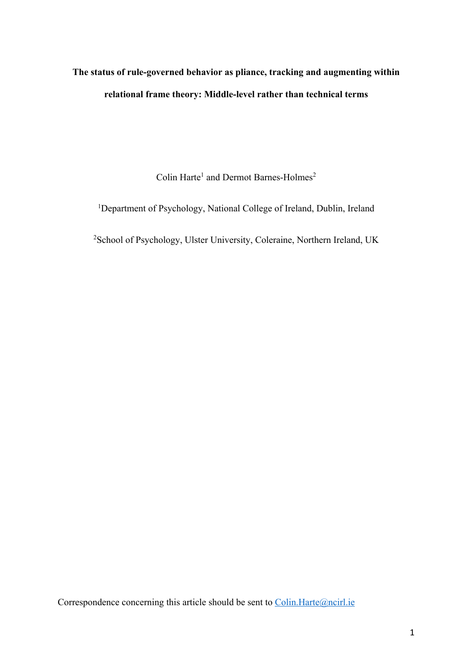# **The status of rule-governed behavior as pliance, tracking and augmenting within relational frame theory: Middle-level rather than technical terms**

Colin Harte<sup>1</sup> and Dermot Barnes-Holmes<sup>2</sup>

<sup>1</sup>Department of Psychology, National College of Ireland, Dublin, Ireland

<sup>2</sup>School of Psychology, Ulster University, Coleraine, Northern Ireland, UK

Correspondence concerning this article should be sent to Colin.Harte@ncirl.ie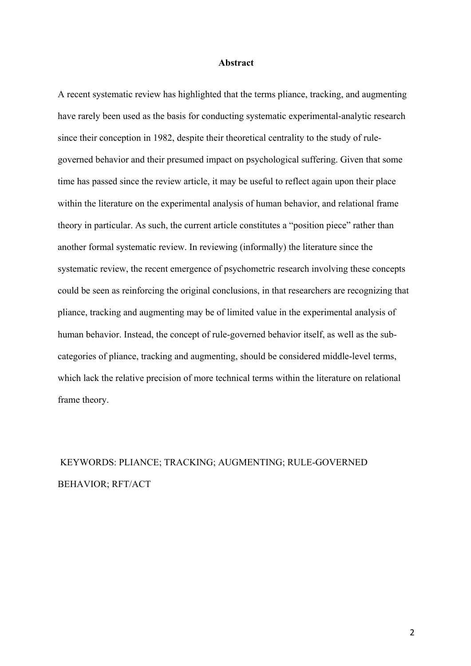### **Abstract**

A recent systematic review has highlighted that the terms pliance, tracking, and augmenting have rarely been used as the basis for conducting systematic experimental-analytic research since their conception in 1982, despite their theoretical centrality to the study of rulegoverned behavior and their presumed impact on psychological suffering. Given that some time has passed since the review article, it may be useful to reflect again upon their place within the literature on the experimental analysis of human behavior, and relational frame theory in particular. As such, the current article constitutes a "position piece" rather than another formal systematic review. In reviewing (informally) the literature since the systematic review, the recent emergence of psychometric research involving these concepts could be seen as reinforcing the original conclusions, in that researchers are recognizing that pliance, tracking and augmenting may be of limited value in the experimental analysis of human behavior. Instead, the concept of rule-governed behavior itself, as well as the subcategories of pliance, tracking and augmenting, should be considered middle-level terms, which lack the relative precision of more technical terms within the literature on relational frame theory.

## KEYWORDS: PLIANCE; TRACKING; AUGMENTING; RULE-GOVERNED BEHAVIOR; RFT/ACT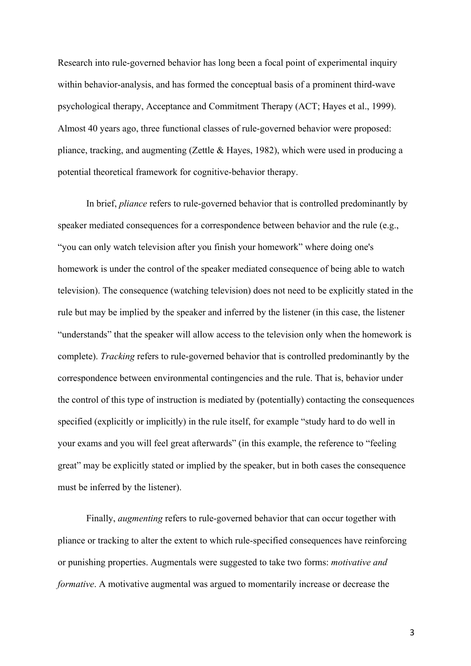Research into rule-governed behavior has long been a focal point of experimental inquiry within behavior-analysis, and has formed the conceptual basis of a prominent third-wave psychological therapy, Acceptance and Commitment Therapy (ACT; Hayes et al., 1999). Almost 40 years ago, three functional classes of rule-governed behavior were proposed: pliance, tracking, and augmenting (Zettle & Hayes, 1982), which were used in producing a potential theoretical framework for cognitive-behavior therapy.

In brief, *pliance* refers to rule-governed behavior that is controlled predominantly by speaker mediated consequences for a correspondence between behavior and the rule (e.g., "you can only watch television after you finish your homework" where doing one's homework is under the control of the speaker mediated consequence of being able to watch television). The consequence (watching television) does not need to be explicitly stated in the rule but may be implied by the speaker and inferred by the listener (in this case, the listener "understands" that the speaker will allow access to the television only when the homework is complete). *Tracking* refers to rule-governed behavior that is controlled predominantly by the correspondence between environmental contingencies and the rule. That is, behavior under the control of this type of instruction is mediated by (potentially) contacting the consequences specified (explicitly or implicitly) in the rule itself, for example "study hard to do well in your exams and you will feel great afterwards" (in this example, the reference to "feeling great" may be explicitly stated or implied by the speaker, but in both cases the consequence must be inferred by the listener).

Finally, *augmenting* refers to rule-governed behavior that can occur together with pliance or tracking to alter the extent to which rule-specified consequences have reinforcing or punishing properties. Augmentals were suggested to take two forms: *motivative and formative*. A motivative augmental was argued to momentarily increase or decrease the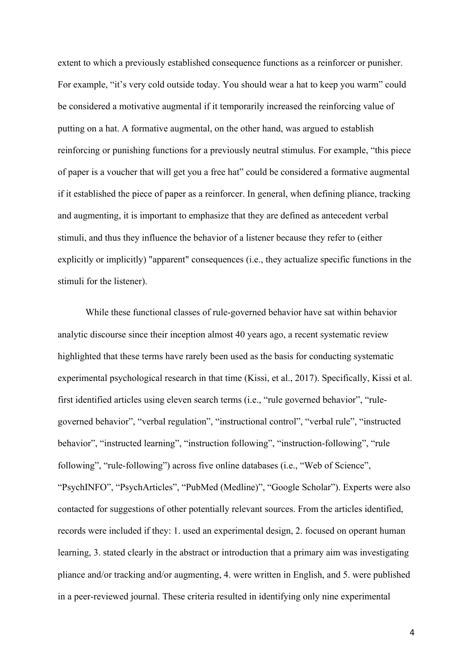extent to which a previously established consequence functions as a reinforcer or punisher. For example, "it's very cold outside today. You should wear a hat to keep you warm" could be considered a motivative augmental if it temporarily increased the reinforcing value of putting on a hat. A formative augmental, on the other hand, was argued to establish reinforcing or punishing functions for a previously neutral stimulus. For example, "this piece of paper is a voucher that will get you a free hat" could be considered a formative augmental if it established the piece of paper as a reinforcer. In general, when defining pliance, tracking and augmenting, it is important to emphasize that they are defined as antecedent verbal stimuli, and thus they influence the behavior of a listener because they refer to (either explicitly or implicitly) "apparent" consequences (i.e., they actualize specific functions in the stimuli for the listener).

While these functional classes of rule-governed behavior have sat within behavior analytic discourse since their inception almost 40 years ago, a recent systematic review highlighted that these terms have rarely been used as the basis for conducting systematic experimental psychological research in that time (Kissi, et al., 2017). Specifically, Kissi et al. first identified articles using eleven search terms (i.e., "rule governed behavior", "rulegoverned behavior", "verbal regulation", "instructional control", "verbal rule", "instructed behavior", "instructed learning", "instruction following", "instruction-following", "rule following", "rule-following") across five online databases (i.e., "Web of Science", "PsychINFO", "PsychArticles", "PubMed (Medline)", "Google Scholar"). Experts were also contacted for suggestions of other potentially relevant sources. From the articles identified, records were included if they: 1. used an experimental design, 2. focused on operant human learning, 3. stated clearly in the abstract or introduction that a primary aim was investigating pliance and/or tracking and/or augmenting, 4. were written in English, and 5. were published in a peer-reviewed journal. These criteria resulted in identifying only nine experimental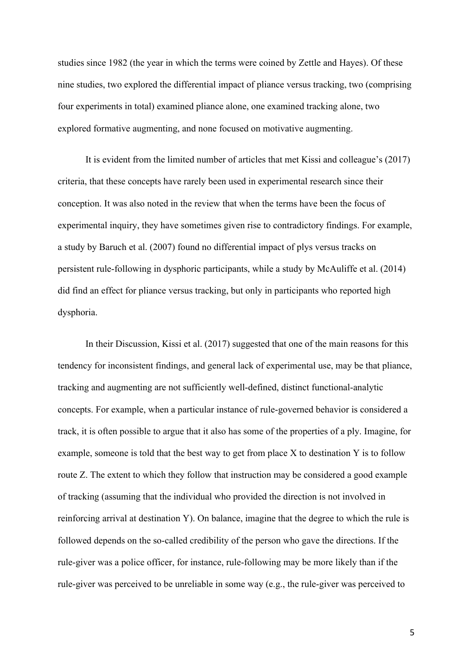studies since 1982 (the year in which the terms were coined by Zettle and Hayes). Of these nine studies, two explored the differential impact of pliance versus tracking, two (comprising four experiments in total) examined pliance alone, one examined tracking alone, two explored formative augmenting, and none focused on motivative augmenting.

It is evident from the limited number of articles that met Kissi and colleague's (2017) criteria, that these concepts have rarely been used in experimental research since their conception. It was also noted in the review that when the terms have been the focus of experimental inquiry, they have sometimes given rise to contradictory findings. For example, a study by Baruch et al. (2007) found no differential impact of plys versus tracks on persistent rule-following in dysphoric participants, while a study by McAuliffe et al. (2014) did find an effect for pliance versus tracking, but only in participants who reported high dysphoria.

In their Discussion, Kissi et al. (2017) suggested that one of the main reasons for this tendency for inconsistent findings, and general lack of experimental use, may be that pliance, tracking and augmenting are not sufficiently well-defined, distinct functional-analytic concepts. For example, when a particular instance of rule-governed behavior is considered a track, it is often possible to argue that it also has some of the properties of a ply. Imagine, for example, someone is told that the best way to get from place X to destination Y is to follow route Z. The extent to which they follow that instruction may be considered a good example of tracking (assuming that the individual who provided the direction is not involved in reinforcing arrival at destination Y). On balance, imagine that the degree to which the rule is followed depends on the so-called credibility of the person who gave the directions. If the rule-giver was a police officer, for instance, rule-following may be more likely than if the rule-giver was perceived to be unreliable in some way (e.g., the rule-giver was perceived to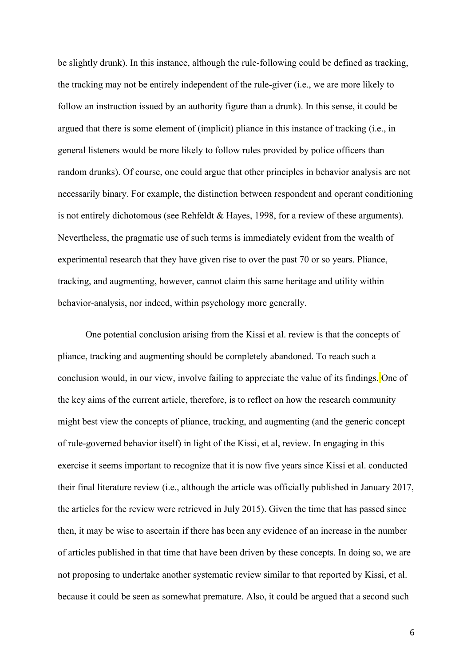be slightly drunk). In this instance, although the rule-following could be defined as tracking, the tracking may not be entirely independent of the rule-giver (i.e., we are more likely to follow an instruction issued by an authority figure than a drunk). In this sense, it could be argued that there is some element of (implicit) pliance in this instance of tracking (i.e., in general listeners would be more likely to follow rules provided by police officers than random drunks). Of course, one could argue that other principles in behavior analysis are not necessarily binary. For example, the distinction between respondent and operant conditioning is not entirely dichotomous (see Rehfeldt & Hayes, 1998, for a review of these arguments). Nevertheless, the pragmatic use of such terms is immediately evident from the wealth of experimental research that they have given rise to over the past 70 or so years. Pliance, tracking, and augmenting, however, cannot claim this same heritage and utility within behavior-analysis, nor indeed, within psychology more generally.

One potential conclusion arising from the Kissi et al. review is that the concepts of pliance, tracking and augmenting should be completely abandoned. To reach such a conclusion would, in our view, involve failing to appreciate the value of its findings. One of the key aims of the current article, therefore, is to reflect on how the research community might best view the concepts of pliance, tracking, and augmenting (and the generic concept of rule-governed behavior itself) in light of the Kissi, et al, review. In engaging in this exercise it seems important to recognize that it is now five years since Kissi et al. conducted their final literature review (i.e., although the article was officially published in January 2017, the articles for the review were retrieved in July 2015). Given the time that has passed since then, it may be wise to ascertain if there has been any evidence of an increase in the number of articles published in that time that have been driven by these concepts. In doing so, we are not proposing to undertake another systematic review similar to that reported by Kissi, et al. because it could be seen as somewhat premature. Also, it could be argued that a second such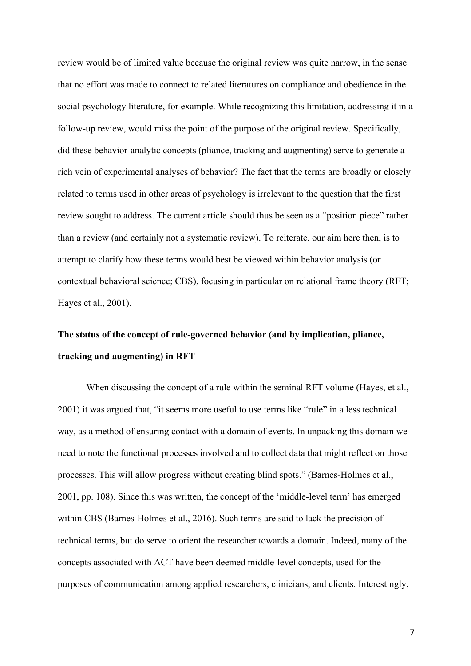review would be of limited value because the original review was quite narrow, in the sense that no effort was made to connect to related literatures on compliance and obedience in the social psychology literature, for example. While recognizing this limitation, addressing it in a follow-up review, would miss the point of the purpose of the original review. Specifically, did these behavior-analytic concepts (pliance, tracking and augmenting) serve to generate a rich vein of experimental analyses of behavior? The fact that the terms are broadly or closely related to terms used in other areas of psychology is irrelevant to the question that the first review sought to address. The current article should thus be seen as a "position piece" rather than a review (and certainly not a systematic review). To reiterate, our aim here then, is to attempt to clarify how these terms would best be viewed within behavior analysis (or contextual behavioral science; CBS), focusing in particular on relational frame theory (RFT; Hayes et al., 2001).

# **The status of the concept of rule-governed behavior (and by implication, pliance, tracking and augmenting) in RFT**

When discussing the concept of a rule within the seminal RFT volume (Hayes, et al., 2001) it was argued that, "it seems more useful to use terms like "rule" in a less technical way, as a method of ensuring contact with a domain of events. In unpacking this domain we need to note the functional processes involved and to collect data that might reflect on those processes. This will allow progress without creating blind spots." (Barnes-Holmes et al., 2001, pp. 108). Since this was written, the concept of the 'middle-level term' has emerged within CBS (Barnes-Holmes et al., 2016). Such terms are said to lack the precision of technical terms, but do serve to orient the researcher towards a domain. Indeed, many of the concepts associated with ACT have been deemed middle-level concepts, used for the purposes of communication among applied researchers, clinicians, and clients. Interestingly,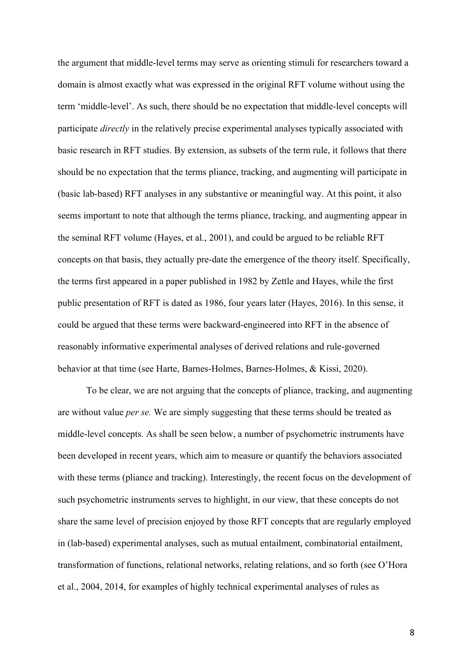the argument that middle-level terms may serve as orienting stimuli for researchers toward a domain is almost exactly what was expressed in the original RFT volume without using the term 'middle-level'. As such, there should be no expectation that middle-level concepts will participate *directly* in the relatively precise experimental analyses typically associated with basic research in RFT studies. By extension, as subsets of the term rule, it follows that there should be no expectation that the terms pliance, tracking, and augmenting will participate in (basic lab-based) RFT analyses in any substantive or meaningful way. At this point, it also seems important to note that although the terms pliance, tracking, and augmenting appear in the seminal RFT volume (Hayes, et al., 2001), and could be argued to be reliable RFT concepts on that basis, they actually pre-date the emergence of the theory itself. Specifically, the terms first appeared in a paper published in 1982 by Zettle and Hayes, while the first public presentation of RFT is dated as 1986, four years later (Hayes, 2016). In this sense, it could be argued that these terms were backward-engineered into RFT in the absence of reasonably informative experimental analyses of derived relations and rule-governed behavior at that time (see Harte, Barnes-Holmes, Barnes-Holmes, & Kissi, 2020).

To be clear, we are not arguing that the concepts of pliance, tracking, and augmenting are without value *per se.* We are simply suggesting that these terms should be treated as middle-level concepts. As shall be seen below, a number of psychometric instruments have been developed in recent years, which aim to measure or quantify the behaviors associated with these terms (pliance and tracking). Interestingly, the recent focus on the development of such psychometric instruments serves to highlight, in our view, that these concepts do not share the same level of precision enjoyed by those RFT concepts that are regularly employed in (lab-based) experimental analyses, such as mutual entailment, combinatorial entailment, transformation of functions, relational networks, relating relations, and so forth (see O'Hora et al., 2004, 2014, for examples of highly technical experimental analyses of rules as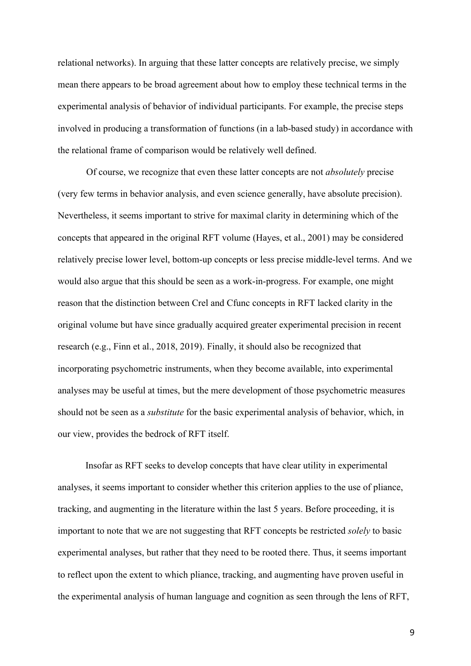relational networks). In arguing that these latter concepts are relatively precise, we simply mean there appears to be broad agreement about how to employ these technical terms in the experimental analysis of behavior of individual participants. For example, the precise steps involved in producing a transformation of functions (in a lab-based study) in accordance with the relational frame of comparison would be relatively well defined.

Of course, we recognize that even these latter concepts are not *absolutely* precise (very few terms in behavior analysis, and even science generally, have absolute precision). Nevertheless, it seems important to strive for maximal clarity in determining which of the concepts that appeared in the original RFT volume (Hayes, et al., 2001) may be considered relatively precise lower level, bottom-up concepts or less precise middle-level terms. And we would also argue that this should be seen as a work-in-progress. For example, one might reason that the distinction between Crel and Cfunc concepts in RFT lacked clarity in the original volume but have since gradually acquired greater experimental precision in recent research (e.g., Finn et al., 2018, 2019). Finally, it should also be recognized that incorporating psychometric instruments, when they become available, into experimental analyses may be useful at times, but the mere development of those psychometric measures should not be seen as a *substitute* for the basic experimental analysis of behavior, which, in our view, provides the bedrock of RFT itself.

Insofar as RFT seeks to develop concepts that have clear utility in experimental analyses, it seems important to consider whether this criterion applies to the use of pliance, tracking, and augmenting in the literature within the last 5 years. Before proceeding, it is important to note that we are not suggesting that RFT concepts be restricted *solely* to basic experimental analyses, but rather that they need to be rooted there. Thus, it seems important to reflect upon the extent to which pliance, tracking, and augmenting have proven useful in the experimental analysis of human language and cognition as seen through the lens of RFT,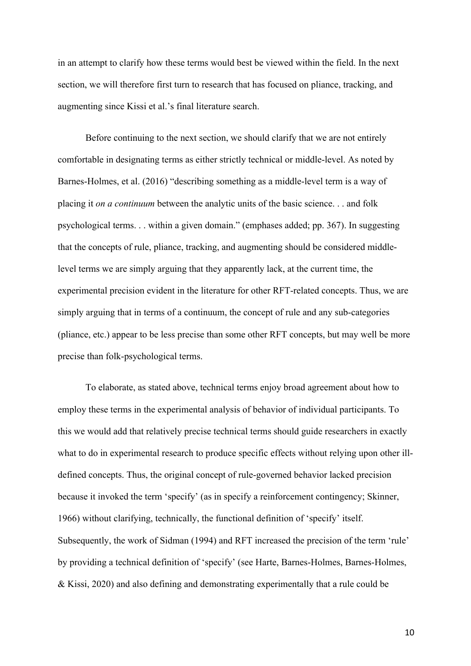in an attempt to clarify how these terms would best be viewed within the field. In the next section, we will therefore first turn to research that has focused on pliance, tracking, and augmenting since Kissi et al.'s final literature search.

Before continuing to the next section, we should clarify that we are not entirely comfortable in designating terms as either strictly technical or middle-level. As noted by Barnes-Holmes, et al. (2016) "describing something as a middle-level term is a way of placing it *on a continuum* between the analytic units of the basic science. . . and folk psychological terms. . . within a given domain." (emphases added; pp. 367). In suggesting that the concepts of rule, pliance, tracking, and augmenting should be considered middlelevel terms we are simply arguing that they apparently lack, at the current time, the experimental precision evident in the literature for other RFT-related concepts. Thus, we are simply arguing that in terms of a continuum, the concept of rule and any sub-categories (pliance, etc.) appear to be less precise than some other RFT concepts, but may well be more precise than folk-psychological terms.

To elaborate, as stated above, technical terms enjoy broad agreement about how to employ these terms in the experimental analysis of behavior of individual participants. To this we would add that relatively precise technical terms should guide researchers in exactly what to do in experimental research to produce specific effects without relying upon other illdefined concepts. Thus, the original concept of rule-governed behavior lacked precision because it invoked the term 'specify' (as in specify a reinforcement contingency; Skinner, 1966) without clarifying, technically, the functional definition of 'specify' itself. Subsequently, the work of Sidman (1994) and RFT increased the precision of the term 'rule' by providing a technical definition of 'specify' (see Harte, Barnes-Holmes, Barnes-Holmes, & Kissi, 2020) and also defining and demonstrating experimentally that a rule could be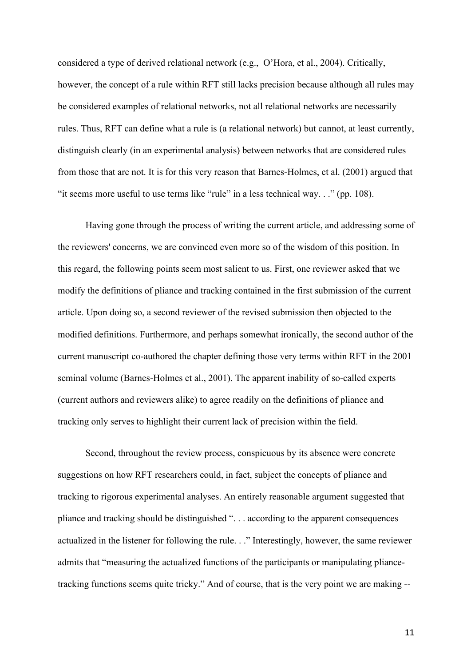considered a type of derived relational network (e.g., O'Hora, et al., 2004). Critically, however, the concept of a rule within RFT still lacks precision because although all rules may be considered examples of relational networks, not all relational networks are necessarily rules. Thus, RFT can define what a rule is (a relational network) but cannot, at least currently, distinguish clearly (in an experimental analysis) between networks that are considered rules from those that are not. It is for this very reason that Barnes-Holmes, et al. (2001) argued that "it seems more useful to use terms like "rule" in a less technical way. . ." (pp. 108).

Having gone through the process of writing the current article, and addressing some of the reviewers' concerns, we are convinced even more so of the wisdom of this position. In this regard, the following points seem most salient to us. First, one reviewer asked that we modify the definitions of pliance and tracking contained in the first submission of the current article. Upon doing so, a second reviewer of the revised submission then objected to the modified definitions. Furthermore, and perhaps somewhat ironically, the second author of the current manuscript co-authored the chapter defining those very terms within RFT in the 2001 seminal volume (Barnes-Holmes et al., 2001). The apparent inability of so-called experts (current authors and reviewers alike) to agree readily on the definitions of pliance and tracking only serves to highlight their current lack of precision within the field.

Second, throughout the review process, conspicuous by its absence were concrete suggestions on how RFT researchers could, in fact, subject the concepts of pliance and tracking to rigorous experimental analyses. An entirely reasonable argument suggested that pliance and tracking should be distinguished ". . . according to the apparent consequences actualized in the listener for following the rule. . ." Interestingly, however, the same reviewer admits that "measuring the actualized functions of the participants or manipulating pliancetracking functions seems quite tricky." And of course, that is the very point we are making --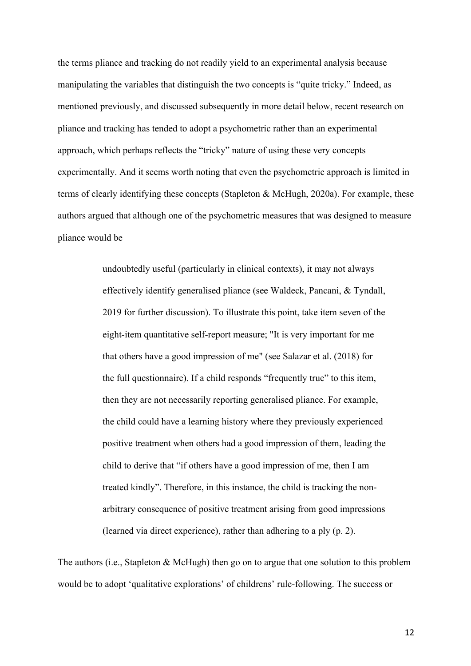the terms pliance and tracking do not readily yield to an experimental analysis because manipulating the variables that distinguish the two concepts is "quite tricky." Indeed, as mentioned previously, and discussed subsequently in more detail below, recent research on pliance and tracking has tended to adopt a psychometric rather than an experimental approach, which perhaps reflects the "tricky" nature of using these very concepts experimentally. And it seems worth noting that even the psychometric approach is limited in terms of clearly identifying these concepts (Stapleton & McHugh, 2020a). For example, these authors argued that although one of the psychometric measures that was designed to measure pliance would be

> undoubtedly useful (particularly in clinical contexts), it may not always effectively identify generalised pliance (see Waldeck, Pancani, & Tyndall, 2019 for further discussion). To illustrate this point, take item seven of the eight-item quantitative self-report measure; "It is very important for me that others have a good impression of me" (see Salazar et al. (2018) for the full questionnaire). If a child responds "frequently true" to this item, then they are not necessarily reporting generalised pliance. For example, the child could have a learning history where they previously experienced positive treatment when others had a good impression of them, leading the child to derive that "if others have a good impression of me, then I am treated kindly". Therefore, in this instance, the child is tracking the nonarbitrary consequence of positive treatment arising from good impressions (learned via direct experience), rather than adhering to a ply (p. 2).

The authors (i.e., Stapleton & McHugh) then go on to argue that one solution to this problem would be to adopt 'qualitative explorations' of childrens' rule-following. The success or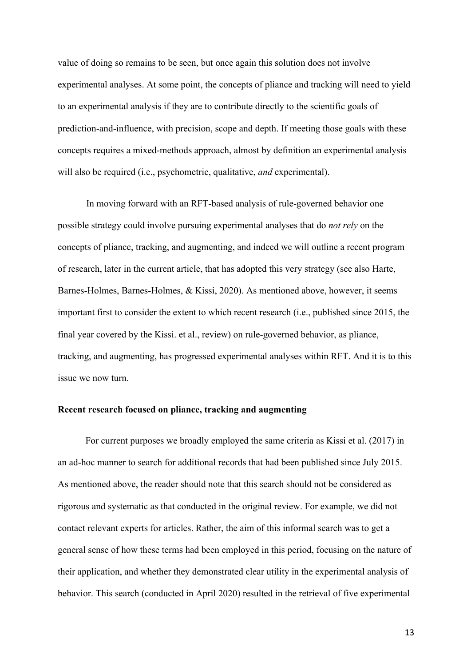value of doing so remains to be seen, but once again this solution does not involve experimental analyses. At some point, the concepts of pliance and tracking will need to yield to an experimental analysis if they are to contribute directly to the scientific goals of prediction-and-influence, with precision, scope and depth. If meeting those goals with these concepts requires a mixed-methods approach, almost by definition an experimental analysis will also be required (i.e., psychometric, qualitative, *and* experimental).

In moving forward with an RFT-based analysis of rule-governed behavior one possible strategy could involve pursuing experimental analyses that do *not rely* on the concepts of pliance, tracking, and augmenting, and indeed we will outline a recent program of research, later in the current article, that has adopted this very strategy (see also Harte, Barnes-Holmes, Barnes-Holmes, & Kissi, 2020). As mentioned above, however, it seems important first to consider the extent to which recent research (i.e., published since 2015, the final year covered by the Kissi. et al., review) on rule-governed behavior, as pliance, tracking, and augmenting, has progressed experimental analyses within RFT. And it is to this issue we now turn.

#### **Recent research focused on pliance, tracking and augmenting**

For current purposes we broadly employed the same criteria as Kissi et al. (2017) in an ad-hoc manner to search for additional records that had been published since July 2015. As mentioned above, the reader should note that this search should not be considered as rigorous and systematic as that conducted in the original review. For example, we did not contact relevant experts for articles. Rather, the aim of this informal search was to get a general sense of how these terms had been employed in this period, focusing on the nature of their application, and whether they demonstrated clear utility in the experimental analysis of behavior. This search (conducted in April 2020) resulted in the retrieval of five experimental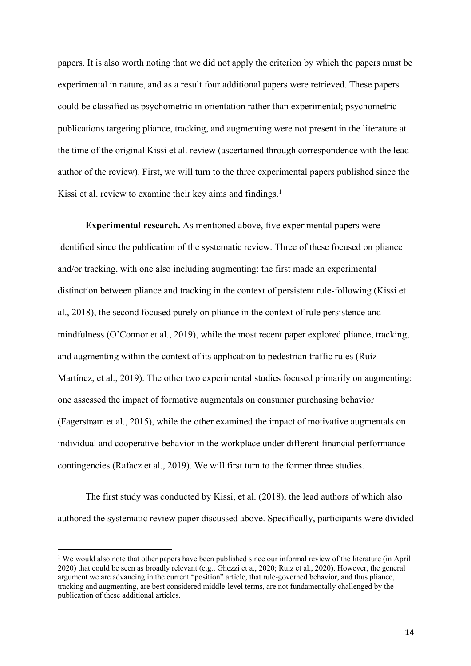papers. It is also worth noting that we did not apply the criterion by which the papers must be experimental in nature, and as a result four additional papers were retrieved. These papers could be classified as psychometric in orientation rather than experimental; psychometric publications targeting pliance, tracking, and augmenting were not present in the literature at the time of the original Kissi et al. review (ascertained through correspondence with the lead author of the review). First, we will turn to the three experimental papers published since the Kissi et al. review to examine their key aims and findings.<sup>1</sup>

**Experimental research.** As mentioned above, five experimental papers were identified since the publication of the systematic review. Three of these focused on pliance and/or tracking, with one also including augmenting: the first made an experimental distinction between pliance and tracking in the context of persistent rule-following (Kissi et al., 2018), the second focused purely on pliance in the context of rule persistence and mindfulness (O'Connor et al., 2019), while the most recent paper explored pliance, tracking, and augmenting within the context of its application to pedestrian traffic rules (Ruíz-Martínez, et al., 2019). The other two experimental studies focused primarily on augmenting: one assessed the impact of formative augmentals on consumer purchasing behavior (Fagerstrøm et al., 2015), while the other examined the impact of motivative augmentals on individual and cooperative behavior in the workplace under different financial performance contingencies (Rafacz et al., 2019). We will first turn to the former three studies.

The first study was conducted by Kissi, et al. (2018), the lead authors of which also authored the systematic review paper discussed above. Specifically, participants were divided

<sup>&</sup>lt;sup>1</sup> We would also note that other papers have been published since our informal review of the literature (in April 2020) that could be seen as broadly relevant (e.g., Ghezzi et a., 2020; Ruiz et al., 2020). However, the general argument we are advancing in the current "position" article, that rule-governed behavior, and thus pliance, tracking and augmenting, are best considered middle-level terms, are not fundamentally challenged by the publication of these additional articles.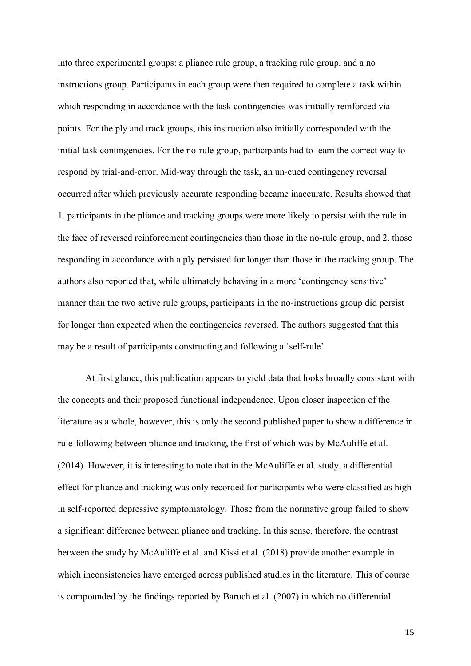into three experimental groups: a pliance rule group, a tracking rule group, and a no instructions group. Participants in each group were then required to complete a task within which responding in accordance with the task contingencies was initially reinforced via points. For the ply and track groups, this instruction also initially corresponded with the initial task contingencies. For the no-rule group, participants had to learn the correct way to respond by trial-and-error. Mid-way through the task, an un-cued contingency reversal occurred after which previously accurate responding became inaccurate. Results showed that 1. participants in the pliance and tracking groups were more likely to persist with the rule in the face of reversed reinforcement contingencies than those in the no-rule group, and 2. those responding in accordance with a ply persisted for longer than those in the tracking group. The authors also reported that, while ultimately behaving in a more 'contingency sensitive' manner than the two active rule groups, participants in the no-instructions group did persist for longer than expected when the contingencies reversed. The authors suggested that this may be a result of participants constructing and following a 'self-rule'.

At first glance, this publication appears to yield data that looks broadly consistent with the concepts and their proposed functional independence. Upon closer inspection of the literature as a whole, however, this is only the second published paper to show a difference in rule-following between pliance and tracking, the first of which was by McAuliffe et al. (2014). However, it is interesting to note that in the McAuliffe et al. study, a differential effect for pliance and tracking was only recorded for participants who were classified as high in self-reported depressive symptomatology. Those from the normative group failed to show a significant difference between pliance and tracking. In this sense, therefore, the contrast between the study by McAuliffe et al. and Kissi et al. (2018) provide another example in which inconsistencies have emerged across published studies in the literature. This of course is compounded by the findings reported by Baruch et al. (2007) in which no differential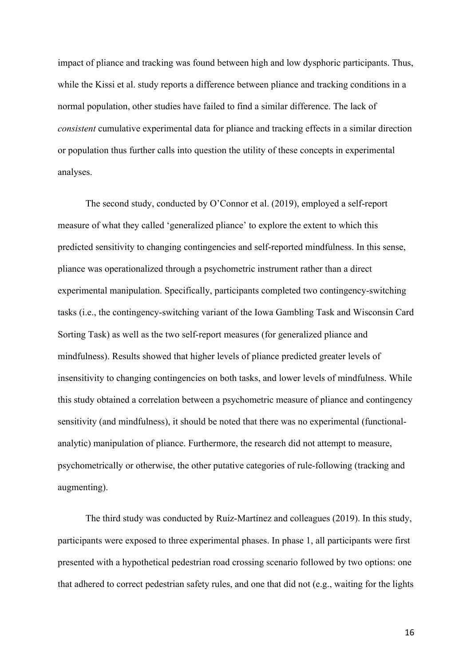impact of pliance and tracking was found between high and low dysphoric participants. Thus, while the Kissi et al. study reports a difference between pliance and tracking conditions in a normal population, other studies have failed to find a similar difference. The lack of *consistent* cumulative experimental data for pliance and tracking effects in a similar direction or population thus further calls into question the utility of these concepts in experimental analyses.

The second study, conducted by O'Connor et al. (2019), employed a self-report measure of what they called 'generalized pliance' to explore the extent to which this predicted sensitivity to changing contingencies and self-reported mindfulness. In this sense, pliance was operationalized through a psychometric instrument rather than a direct experimental manipulation. Specifically, participants completed two contingency-switching tasks (i.e., the contingency-switching variant of the Iowa Gambling Task and Wisconsin Card Sorting Task) as well as the two self-report measures (for generalized pliance and mindfulness). Results showed that higher levels of pliance predicted greater levels of insensitivity to changing contingencies on both tasks, and lower levels of mindfulness. While this study obtained a correlation between a psychometric measure of pliance and contingency sensitivity (and mindfulness), it should be noted that there was no experimental (functionalanalytic) manipulation of pliance. Furthermore, the research did not attempt to measure, psychometrically or otherwise, the other putative categories of rule-following (tracking and augmenting).

The third study was conducted by Ruíz-Martínez and colleagues (2019). In this study, participants were exposed to three experimental phases. In phase 1, all participants were first presented with a hypothetical pedestrian road crossing scenario followed by two options: one that adhered to correct pedestrian safety rules, and one that did not (e.g., waiting for the lights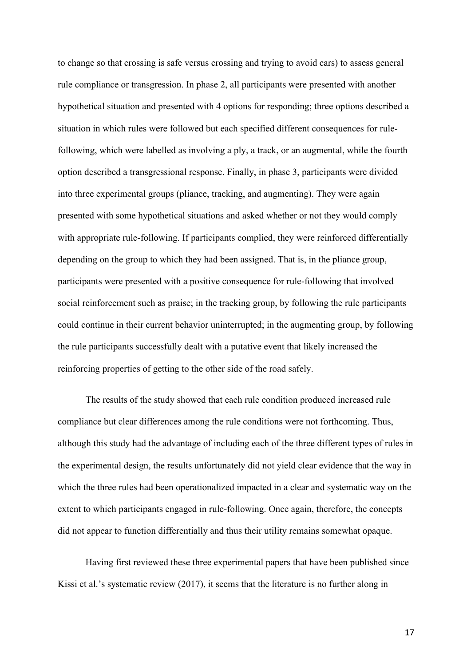to change so that crossing is safe versus crossing and trying to avoid cars) to assess general rule compliance or transgression. In phase 2, all participants were presented with another hypothetical situation and presented with 4 options for responding; three options described a situation in which rules were followed but each specified different consequences for rulefollowing, which were labelled as involving a ply, a track, or an augmental, while the fourth option described a transgressional response. Finally, in phase 3, participants were divided into three experimental groups (pliance, tracking, and augmenting). They were again presented with some hypothetical situations and asked whether or not they would comply with appropriate rule-following. If participants complied, they were reinforced differentially depending on the group to which they had been assigned. That is, in the pliance group, participants were presented with a positive consequence for rule-following that involved social reinforcement such as praise; in the tracking group, by following the rule participants could continue in their current behavior uninterrupted; in the augmenting group, by following the rule participants successfully dealt with a putative event that likely increased the reinforcing properties of getting to the other side of the road safely.

The results of the study showed that each rule condition produced increased rule compliance but clear differences among the rule conditions were not forthcoming. Thus, although this study had the advantage of including each of the three different types of rules in the experimental design, the results unfortunately did not yield clear evidence that the way in which the three rules had been operationalized impacted in a clear and systematic way on the extent to which participants engaged in rule-following. Once again, therefore, the concepts did not appear to function differentially and thus their utility remains somewhat opaque.

Having first reviewed these three experimental papers that have been published since Kissi et al.'s systematic review (2017), it seems that the literature is no further along in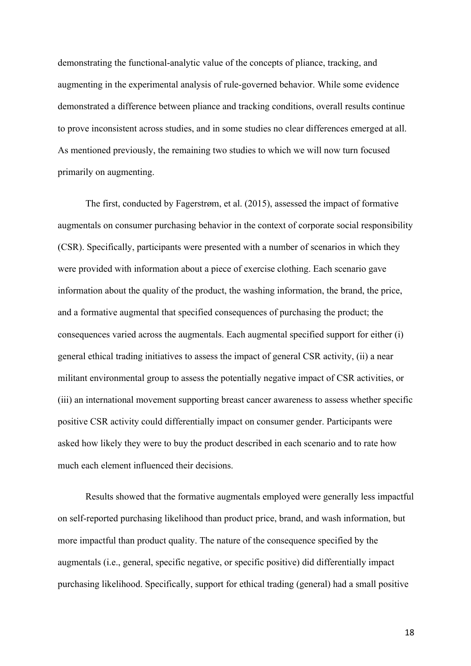demonstrating the functional-analytic value of the concepts of pliance, tracking, and augmenting in the experimental analysis of rule-governed behavior. While some evidence demonstrated a difference between pliance and tracking conditions, overall results continue to prove inconsistent across studies, and in some studies no clear differences emerged at all. As mentioned previously, the remaining two studies to which we will now turn focused primarily on augmenting.

The first, conducted by Fagerstrøm, et al. (2015), assessed the impact of formative augmentals on consumer purchasing behavior in the context of corporate social responsibility (CSR). Specifically, participants were presented with a number of scenarios in which they were provided with information about a piece of exercise clothing. Each scenario gave information about the quality of the product, the washing information, the brand, the price, and a formative augmental that specified consequences of purchasing the product; the consequences varied across the augmentals. Each augmental specified support for either (i) general ethical trading initiatives to assess the impact of general CSR activity, (ii) a near militant environmental group to assess the potentially negative impact of CSR activities, or (iii) an international movement supporting breast cancer awareness to assess whether specific positive CSR activity could differentially impact on consumer gender. Participants were asked how likely they were to buy the product described in each scenario and to rate how much each element influenced their decisions.

Results showed that the formative augmentals employed were generally less impactful on self-reported purchasing likelihood than product price, brand, and wash information, but more impactful than product quality. The nature of the consequence specified by the augmentals (i.e., general, specific negative, or specific positive) did differentially impact purchasing likelihood. Specifically, support for ethical trading (general) had a small positive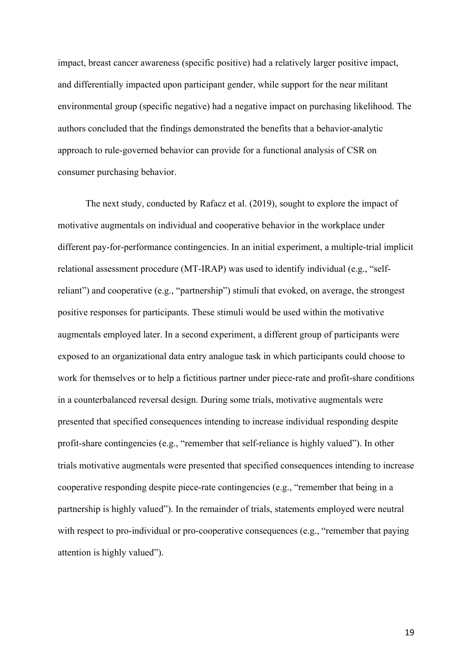impact, breast cancer awareness (specific positive) had a relatively larger positive impact, and differentially impacted upon participant gender, while support for the near militant environmental group (specific negative) had a negative impact on purchasing likelihood. The authors concluded that the findings demonstrated the benefits that a behavior-analytic approach to rule-governed behavior can provide for a functional analysis of CSR on consumer purchasing behavior.

The next study, conducted by Rafacz et al. (2019), sought to explore the impact of motivative augmentals on individual and cooperative behavior in the workplace under different pay-for-performance contingencies. In an initial experiment, a multiple-trial implicit relational assessment procedure (MT-IRAP) was used to identify individual (e.g., "selfreliant") and cooperative (e.g., "partnership") stimuli that evoked, on average, the strongest positive responses for participants. These stimuli would be used within the motivative augmentals employed later. In a second experiment, a different group of participants were exposed to an organizational data entry analogue task in which participants could choose to work for themselves or to help a fictitious partner under piece-rate and profit-share conditions in a counterbalanced reversal design. During some trials, motivative augmentals were presented that specified consequences intending to increase individual responding despite profit-share contingencies (e.g., "remember that self-reliance is highly valued"). In other trials motivative augmentals were presented that specified consequences intending to increase cooperative responding despite piece-rate contingencies (e.g., "remember that being in a partnership is highly valued"). In the remainder of trials, statements employed were neutral with respect to pro-individual or pro-cooperative consequences (e.g., "remember that paying attention is highly valued").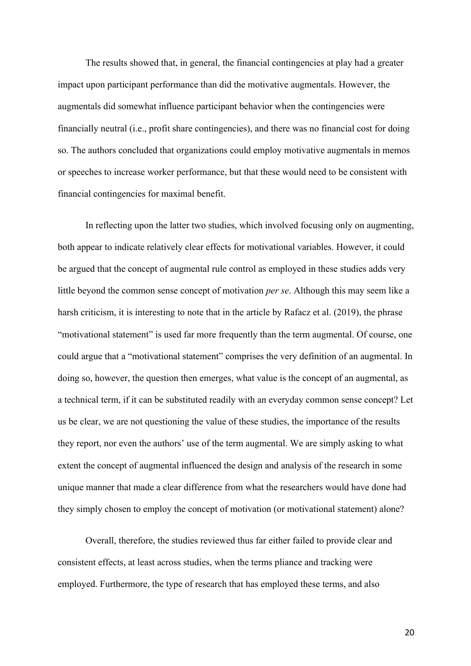The results showed that, in general, the financial contingencies at play had a greater impact upon participant performance than did the motivative augmentals. However, the augmentals did somewhat influence participant behavior when the contingencies were financially neutral (i.e., profit share contingencies), and there was no financial cost for doing so. The authors concluded that organizations could employ motivative augmentals in memos or speeches to increase worker performance, but that these would need to be consistent with financial contingencies for maximal benefit.

In reflecting upon the latter two studies, which involved focusing only on augmenting, both appear to indicate relatively clear effects for motivational variables. However, it could be argued that the concept of augmental rule control as employed in these studies adds very little beyond the common sense concept of motivation *per se*. Although this may seem like a harsh criticism, it is interesting to note that in the article by Rafacz et al. (2019), the phrase "motivational statement" is used far more frequently than the term augmental. Of course, one could argue that a "motivational statement" comprises the very definition of an augmental. In doing so, however, the question then emerges, what value is the concept of an augmental, as a technical term, if it can be substituted readily with an everyday common sense concept? Let us be clear, we are not questioning the value of these studies, the importance of the results they report, nor even the authors' use of the term augmental. We are simply asking to what extent the concept of augmental influenced the design and analysis of the research in some unique manner that made a clear difference from what the researchers would have done had they simply chosen to employ the concept of motivation (or motivational statement) alone?

Overall, therefore, the studies reviewed thus far either failed to provide clear and consistent effects, at least across studies, when the terms pliance and tracking were employed. Furthermore, the type of research that has employed these terms, and also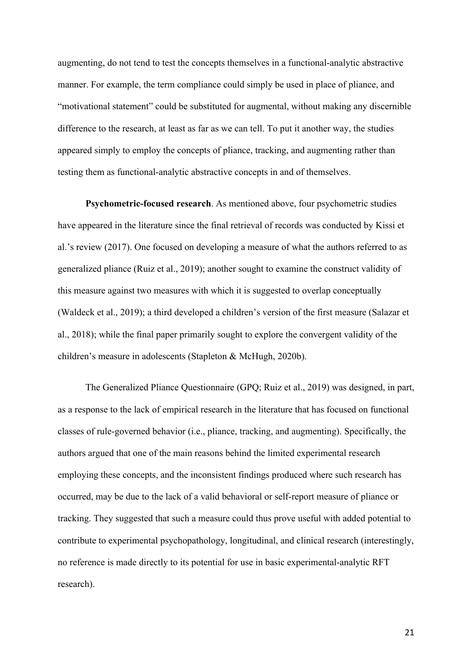augmenting, do not tend to test the concepts themselves in a functional-analytic abstractive manner. For example, the term compliance could simply be used in place of pliance, and "motivational statement" could be substituted for augmental, without making any discernible difference to the research, at least as far as we can tell. To put it another way, the studies appeared simply to employ the concepts of pliance, tracking, and augmenting rather than testing them as functional-analytic abstractive concepts in and of themselves.

**Psychometric-focused research**. As mentioned above, four psychometric studies have appeared in the literature since the final retrieval of records was conducted by Kissi et al.'s review (2017). One focused on developing a measure of what the authors referred to as generalized pliance (Ruiz et al., 2019); another sought to examine the construct validity of this measure against two measures with which it is suggested to overlap conceptually (Waldeck et al., 2019); a third developed a children's version of the first measure (Salazar et al., 2018); while the final paper primarily sought to explore the convergent validity of the children's measure in adolescents (Stapleton & McHugh, 2020b).

The Generalized Pliance Questionnaire (GPQ; Ruiz et al., 2019) was designed, in part, as a response to the lack of empirical research in the literature that has focused on functional classes of rule-governed behavior (i.e., pliance, tracking, and augmenting). Specifically, the authors argued that one of the main reasons behind the limited experimental research employing these concepts, and the inconsistent findings produced where such research has occurred, may be due to the lack of a valid behavioral or self-report measure of pliance or tracking. They suggested that such a measure could thus prove useful with added potential to contribute to experimental psychopathology, longitudinal, and clinical research (interestingly, no reference is made directly to its potential for use in basic experimental-analytic RFT research).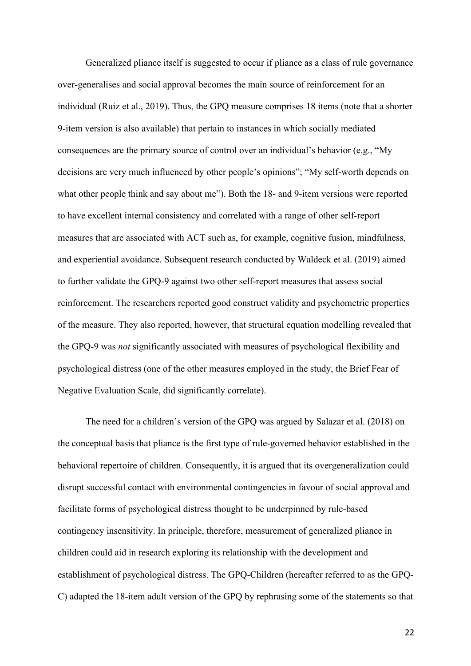Generalized pliance itself is suggested to occur if pliance as a class of rule governance over-generalises and social approval becomes the main source of reinforcement for an individual (Ruiz et al., 2019). Thus, the GPQ measure comprises 18 items (note that a shorter 9-item version is also available) that pertain to instances in which socially mediated consequences are the primary source of control over an individual's behavior (e.g., "My decisions are very much influenced by other people's opinions"; "My self-worth depends on what other people think and say about me"). Both the 18- and 9-item versions were reported to have excellent internal consistency and correlated with a range of other self-report measures that are associated with ACT such as, for example, cognitive fusion, mindfulness, and experiential avoidance. Subsequent research conducted by Waldeck et al. (2019) aimed to further validate the GPQ-9 against two other self-report measures that assess social reinforcement. The researchers reported good construct validity and psychometric properties of the measure. They also reported, however, that structural equation modelling revealed that the GPQ-9 was *not* significantly associated with measures of psychological flexibility and psychological distress (one of the other measures employed in the study, the Brief Fear of Negative Evaluation Scale, did significantly correlate).

The need for a children's version of the GPQ was argued by Salazar et al. (2018) on the conceptual basis that pliance is the first type of rule-governed behavior established in the behavioral repertoire of children. Consequently, it is argued that its overgeneralization could disrupt successful contact with environmental contingencies in favour of social approval and facilitate forms of psychological distress thought to be underpinned by rule-based contingency insensitivity. In principle, therefore, measurement of generalized pliance in children could aid in research exploring its relationship with the development and establishment of psychological distress. The GPQ-Children (hereafter referred to as the GPQ-C) adapted the 18-item adult version of the GPQ by rephrasing some of the statements so that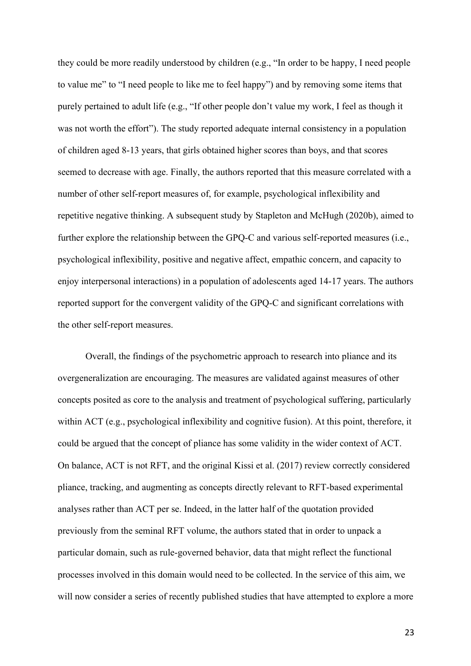they could be more readily understood by children (e.g., "In order to be happy, I need people to value me" to "I need people to like me to feel happy") and by removing some items that purely pertained to adult life (e.g., "If other people don't value my work, I feel as though it was not worth the effort"). The study reported adequate internal consistency in a population of children aged 8-13 years, that girls obtained higher scores than boys, and that scores seemed to decrease with age. Finally, the authors reported that this measure correlated with a number of other self-report measures of, for example, psychological inflexibility and repetitive negative thinking. A subsequent study by Stapleton and McHugh (2020b), aimed to further explore the relationship between the GPQ-C and various self-reported measures (i.e., psychological inflexibility, positive and negative affect, empathic concern, and capacity to enjoy interpersonal interactions) in a population of adolescents aged 14-17 years. The authors reported support for the convergent validity of the GPQ-C and significant correlations with the other self-report measures.

Overall, the findings of the psychometric approach to research into pliance and its overgeneralization are encouraging. The measures are validated against measures of other concepts posited as core to the analysis and treatment of psychological suffering, particularly within ACT (e.g., psychological inflexibility and cognitive fusion). At this point, therefore, it could be argued that the concept of pliance has some validity in the wider context of ACT. On balance, ACT is not RFT, and the original Kissi et al. (2017) review correctly considered pliance, tracking, and augmenting as concepts directly relevant to RFT-based experimental analyses rather than ACT per se. Indeed, in the latter half of the quotation provided previously from the seminal RFT volume, the authors stated that in order to unpack a particular domain, such as rule-governed behavior, data that might reflect the functional processes involved in this domain would need to be collected. In the service of this aim, we will now consider a series of recently published studies that have attempted to explore a more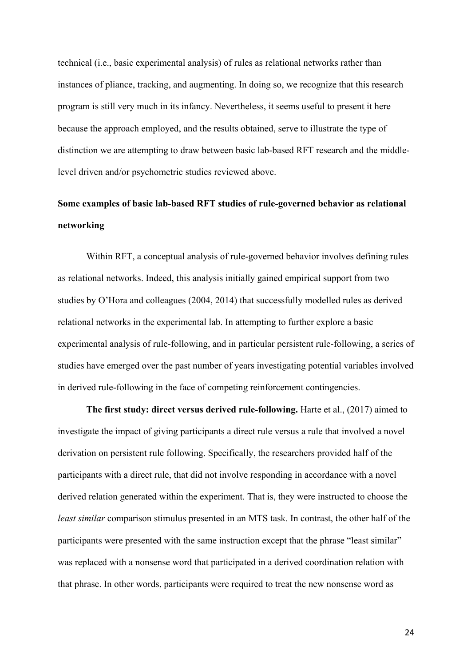technical (i.e., basic experimental analysis) of rules as relational networks rather than instances of pliance, tracking, and augmenting. In doing so, we recognize that this research program is still very much in its infancy. Nevertheless, it seems useful to present it here because the approach employed, and the results obtained, serve to illustrate the type of distinction we are attempting to draw between basic lab-based RFT research and the middlelevel driven and/or psychometric studies reviewed above.

## **Some examples of basic lab-based RFT studies of rule-governed behavior as relational networking**

Within RFT, a conceptual analysis of rule-governed behavior involves defining rules as relational networks. Indeed, this analysis initially gained empirical support from two studies by O'Hora and colleagues (2004, 2014) that successfully modelled rules as derived relational networks in the experimental lab. In attempting to further explore a basic experimental analysis of rule-following, and in particular persistent rule-following, a series of studies have emerged over the past number of years investigating potential variables involved in derived rule-following in the face of competing reinforcement contingencies.

**The first study: direct versus derived rule-following.** Harte et al., (2017) aimed to investigate the impact of giving participants a direct rule versus a rule that involved a novel derivation on persistent rule following. Specifically, the researchers provided half of the participants with a direct rule, that did not involve responding in accordance with a novel derived relation generated within the experiment. That is, they were instructed to choose the *least similar* comparison stimulus presented in an MTS task. In contrast, the other half of the participants were presented with the same instruction except that the phrase "least similar" was replaced with a nonsense word that participated in a derived coordination relation with that phrase. In other words, participants were required to treat the new nonsense word as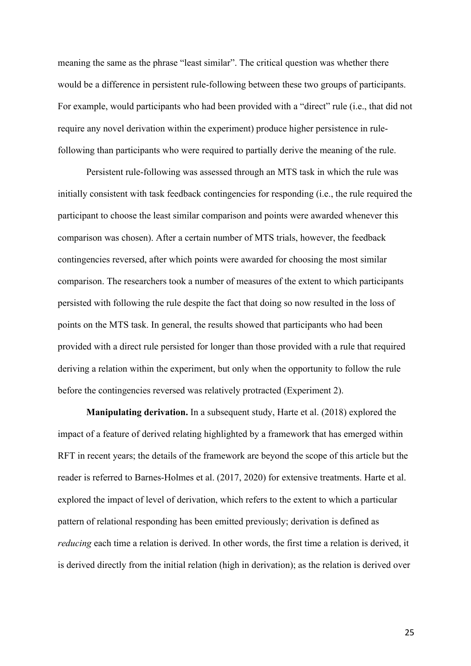meaning the same as the phrase "least similar". The critical question was whether there would be a difference in persistent rule-following between these two groups of participants. For example, would participants who had been provided with a "direct" rule (i.e., that did not require any novel derivation within the experiment) produce higher persistence in rulefollowing than participants who were required to partially derive the meaning of the rule.

Persistent rule-following was assessed through an MTS task in which the rule was initially consistent with task feedback contingencies for responding (i.e., the rule required the participant to choose the least similar comparison and points were awarded whenever this comparison was chosen). After a certain number of MTS trials, however, the feedback contingencies reversed, after which points were awarded for choosing the most similar comparison. The researchers took a number of measures of the extent to which participants persisted with following the rule despite the fact that doing so now resulted in the loss of points on the MTS task. In general, the results showed that participants who had been provided with a direct rule persisted for longer than those provided with a rule that required deriving a relation within the experiment, but only when the opportunity to follow the rule before the contingencies reversed was relatively protracted (Experiment 2).

**Manipulating derivation.** In a subsequent study, Harte et al. (2018) explored the impact of a feature of derived relating highlighted by a framework that has emerged within RFT in recent years; the details of the framework are beyond the scope of this article but the reader is referred to Barnes-Holmes et al. (2017, 2020) for extensive treatments. Harte et al. explored the impact of level of derivation, which refers to the extent to which a particular pattern of relational responding has been emitted previously; derivation is defined as *reducing* each time a relation is derived. In other words, the first time a relation is derived, it is derived directly from the initial relation (high in derivation); as the relation is derived over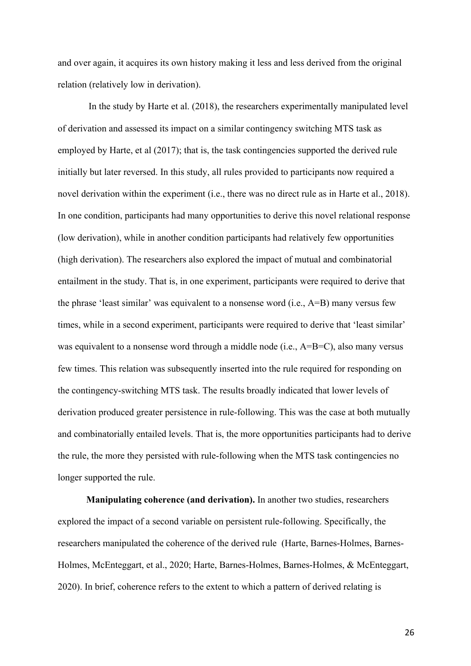and over again, it acquires its own history making it less and less derived from the original relation (relatively low in derivation).

In the study by Harte et al. (2018), the researchers experimentally manipulated level of derivation and assessed its impact on a similar contingency switching MTS task as employed by Harte, et al (2017); that is, the task contingencies supported the derived rule initially but later reversed. In this study, all rules provided to participants now required a novel derivation within the experiment (i.e., there was no direct rule as in Harte et al., 2018). In one condition, participants had many opportunities to derive this novel relational response (low derivation), while in another condition participants had relatively few opportunities (high derivation). The researchers also explored the impact of mutual and combinatorial entailment in the study. That is, in one experiment, participants were required to derive that the phrase 'least similar' was equivalent to a nonsense word (i.e., A=B) many versus few times, while in a second experiment, participants were required to derive that 'least similar' was equivalent to a nonsense word through a middle node (i.e., A=B=C), also many versus few times. This relation was subsequently inserted into the rule required for responding on the contingency-switching MTS task. The results broadly indicated that lower levels of derivation produced greater persistence in rule-following. This was the case at both mutually and combinatorially entailed levels. That is, the more opportunities participants had to derive the rule, the more they persisted with rule-following when the MTS task contingencies no longer supported the rule.

**Manipulating coherence (and derivation).** In another two studies, researchers explored the impact of a second variable on persistent rule-following. Specifically, the researchers manipulated the coherence of the derived rule (Harte, Barnes-Holmes, Barnes-Holmes, McEnteggart, et al., 2020; Harte, Barnes-Holmes, Barnes-Holmes, & McEnteggart, 2020). In brief, coherence refers to the extent to which a pattern of derived relating is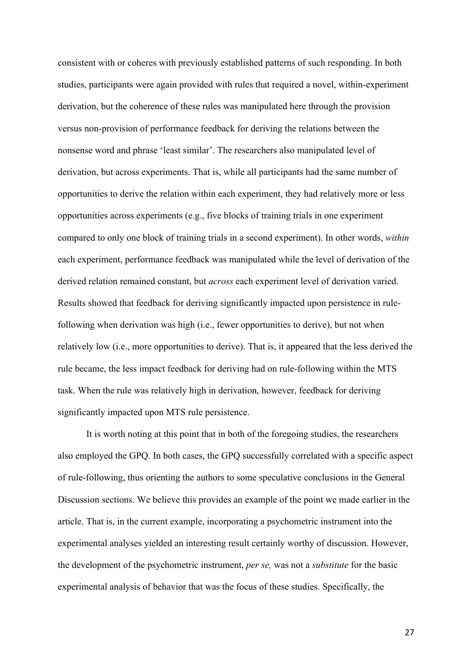consistent with or coheres with previously established patterns of such responding. In both studies, participants were again provided with rules that required a novel, within-experiment derivation, but the coherence of these rules was manipulated here through the provision versus non-provision of performance feedback for deriving the relations between the nonsense word and phrase 'least similar'. The researchers also manipulated level of derivation, but across experiments. That is, while all participants had the same number of opportunities to derive the relation within each experiment, they had relatively more or less opportunities across experiments (e.g., five blocks of training trials in one experiment compared to only one block of training trials in a second experiment). In other words, *within* each experiment, performance feedback was manipulated while the level of derivation of the derived relation remained constant, but *across* each experiment level of derivation varied. Results showed that feedback for deriving significantly impacted upon persistence in rulefollowing when derivation was high (i.e., fewer opportunities to derive), but not when relatively low (i.e., more opportunities to derive). That is, it appeared that the less derived the rule became, the less impact feedback for deriving had on rule-following within the MTS task. When the rule was relatively high in derivation, however, feedback for deriving significantly impacted upon MTS rule persistence.

It is worth noting at this point that in both of the foregoing studies, the researchers also employed the GPQ. In both cases, the GPQ successfully correlated with a specific aspect of rule-following, thus orienting the authors to some speculative conclusions in the General Discussion sections. We believe this provides an example of the point we made earlier in the article. That is, in the current example, incorporating a psychometric instrument into the experimental analyses yielded an interesting result certainly worthy of discussion. However, the development of the psychometric instrument, *per se,* was not a *substitute* for the basic experimental analysis of behavior that was the focus of these studies. Specifically, the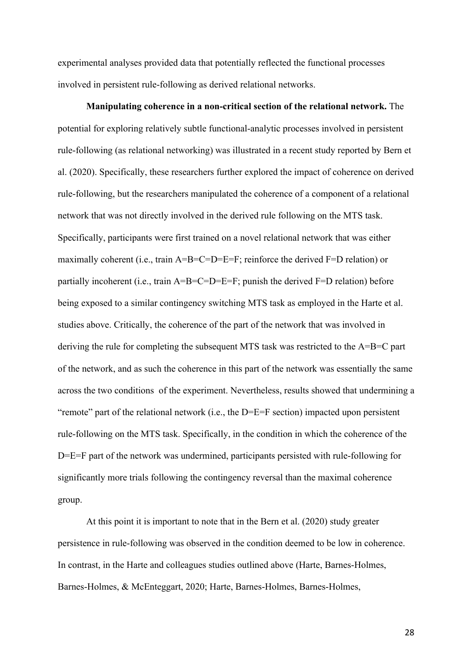experimental analyses provided data that potentially reflected the functional processes involved in persistent rule-following as derived relational networks.

**Manipulating coherence in a non-critical section of the relational network.** The potential for exploring relatively subtle functional-analytic processes involved in persistent rule-following (as relational networking) was illustrated in a recent study reported by Bern et al. (2020). Specifically, these researchers further explored the impact of coherence on derived rule-following, but the researchers manipulated the coherence of a component of a relational network that was not directly involved in the derived rule following on the MTS task. Specifically, participants were first trained on a novel relational network that was either maximally coherent (i.e., train  $A=B=C=D=E=F$ ; reinforce the derived  $F=D$  relation) or partially incoherent (i.e., train A=B=C=D=E=F; punish the derived F=D relation) before being exposed to a similar contingency switching MTS task as employed in the Harte et al. studies above. Critically, the coherence of the part of the network that was involved in deriving the rule for completing the subsequent MTS task was restricted to the A=B=C part of the network, and as such the coherence in this part of the network was essentially the same across the two conditions of the experiment. Nevertheless, results showed that undermining a "remote" part of the relational network (i.e., the D=E=F section) impacted upon persistent rule-following on the MTS task. Specifically, in the condition in which the coherence of the D=E=F part of the network was undermined, participants persisted with rule-following for significantly more trials following the contingency reversal than the maximal coherence group.

At this point it is important to note that in the Bern et al. (2020) study greater persistence in rule-following was observed in the condition deemed to be low in coherence. In contrast, in the Harte and colleagues studies outlined above (Harte, Barnes-Holmes, Barnes-Holmes, & McEnteggart, 2020; Harte, Barnes-Holmes, Barnes-Holmes,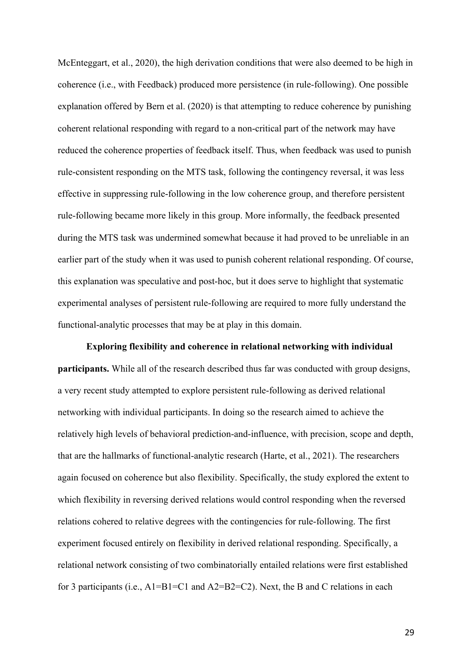McEnteggart, et al., 2020), the high derivation conditions that were also deemed to be high in coherence (i.e., with Feedback) produced more persistence (in rule-following). One possible explanation offered by Bern et al. (2020) is that attempting to reduce coherence by punishing coherent relational responding with regard to a non-critical part of the network may have reduced the coherence properties of feedback itself. Thus, when feedback was used to punish rule-consistent responding on the MTS task, following the contingency reversal, it was less effective in suppressing rule-following in the low coherence group, and therefore persistent rule-following became more likely in this group. More informally, the feedback presented during the MTS task was undermined somewhat because it had proved to be unreliable in an earlier part of the study when it was used to punish coherent relational responding. Of course, this explanation was speculative and post-hoc, but it does serve to highlight that systematic experimental analyses of persistent rule-following are required to more fully understand the functional-analytic processes that may be at play in this domain.

**Exploring flexibility and coherence in relational networking with individual participants.** While all of the research described thus far was conducted with group designs, a very recent study attempted to explore persistent rule-following as derived relational networking with individual participants. In doing so the research aimed to achieve the relatively high levels of behavioral prediction-and-influence, with precision, scope and depth, that are the hallmarks of functional-analytic research (Harte, et al., 2021). The researchers again focused on coherence but also flexibility. Specifically, the study explored the extent to which flexibility in reversing derived relations would control responding when the reversed relations cohered to relative degrees with the contingencies for rule-following. The first experiment focused entirely on flexibility in derived relational responding. Specifically, a relational network consisting of two combinatorially entailed relations were first established for 3 participants (i.e.,  $A1 = B1 = C1$  and  $A2 = B2 = C2$ ). Next, the B and C relations in each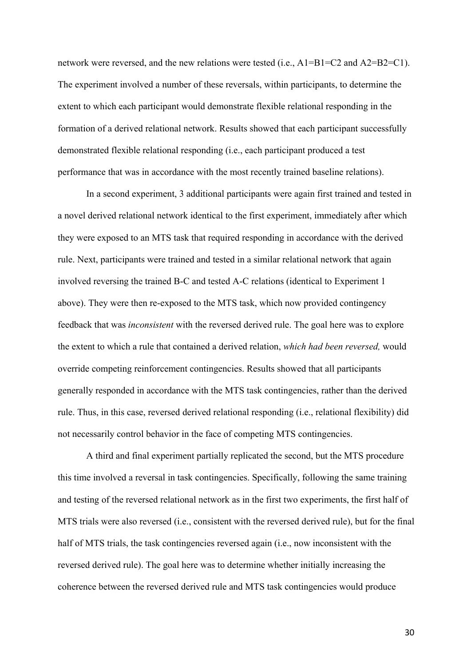network were reversed, and the new relations were tested (i.e., A1=B1=C2 and A2=B2=C1). The experiment involved a number of these reversals, within participants, to determine the extent to which each participant would demonstrate flexible relational responding in the formation of a derived relational network. Results showed that each participant successfully demonstrated flexible relational responding (i.e., each participant produced a test performance that was in accordance with the most recently trained baseline relations).

In a second experiment, 3 additional participants were again first trained and tested in a novel derived relational network identical to the first experiment, immediately after which they were exposed to an MTS task that required responding in accordance with the derived rule. Next, participants were trained and tested in a similar relational network that again involved reversing the trained B-C and tested A-C relations (identical to Experiment 1 above). They were then re-exposed to the MTS task, which now provided contingency feedback that was *inconsistent* with the reversed derived rule. The goal here was to explore the extent to which a rule that contained a derived relation, *which had been reversed,* would override competing reinforcement contingencies. Results showed that all participants generally responded in accordance with the MTS task contingencies, rather than the derived rule. Thus, in this case, reversed derived relational responding (i.e., relational flexibility) did not necessarily control behavior in the face of competing MTS contingencies.

A third and final experiment partially replicated the second, but the MTS procedure this time involved a reversal in task contingencies. Specifically, following the same training and testing of the reversed relational network as in the first two experiments, the first half of MTS trials were also reversed (i.e., consistent with the reversed derived rule), but for the final half of MTS trials, the task contingencies reversed again (i.e., now inconsistent with the reversed derived rule). The goal here was to determine whether initially increasing the coherence between the reversed derived rule and MTS task contingencies would produce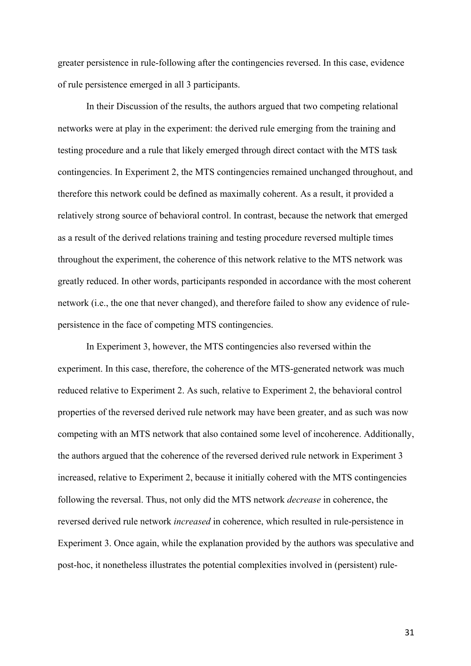greater persistence in rule-following after the contingencies reversed. In this case, evidence of rule persistence emerged in all 3 participants.

In their Discussion of the results, the authors argued that two competing relational networks were at play in the experiment: the derived rule emerging from the training and testing procedure and a rule that likely emerged through direct contact with the MTS task contingencies. In Experiment 2, the MTS contingencies remained unchanged throughout, and therefore this network could be defined as maximally coherent. As a result, it provided a relatively strong source of behavioral control. In contrast, because the network that emerged as a result of the derived relations training and testing procedure reversed multiple times throughout the experiment, the coherence of this network relative to the MTS network was greatly reduced. In other words, participants responded in accordance with the most coherent network (i.e., the one that never changed), and therefore failed to show any evidence of rulepersistence in the face of competing MTS contingencies.

In Experiment 3, however, the MTS contingencies also reversed within the experiment. In this case, therefore, the coherence of the MTS-generated network was much reduced relative to Experiment 2. As such, relative to Experiment 2, the behavioral control properties of the reversed derived rule network may have been greater, and as such was now competing with an MTS network that also contained some level of incoherence. Additionally, the authors argued that the coherence of the reversed derived rule network in Experiment 3 increased, relative to Experiment 2, because it initially cohered with the MTS contingencies following the reversal. Thus, not only did the MTS network *decrease* in coherence, the reversed derived rule network *increased* in coherence, which resulted in rule-persistence in Experiment 3. Once again, while the explanation provided by the authors was speculative and post-hoc, it nonetheless illustrates the potential complexities involved in (persistent) rule-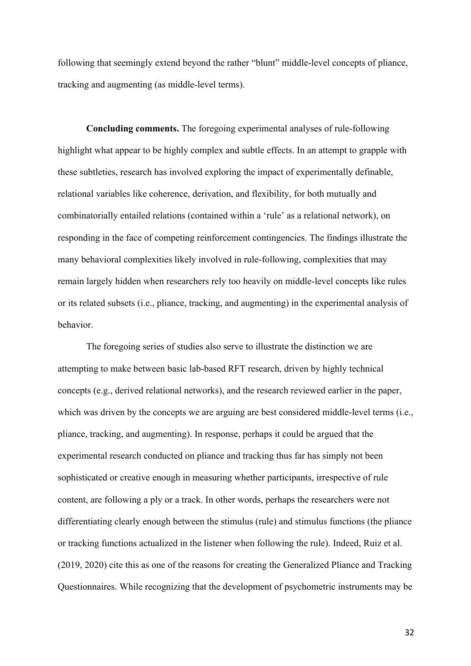following that seemingly extend beyond the rather "blunt" middle-level concepts of pliance, tracking and augmenting (as middle-level terms).

**Concluding comments.** The foregoing experimental analyses of rule-following highlight what appear to be highly complex and subtle effects. In an attempt to grapple with these subtleties, research has involved exploring the impact of experimentally definable, relational variables like coherence, derivation, and flexibility, for both mutually and combinatorially entailed relations (contained within a 'rule' as a relational network), on responding in the face of competing reinforcement contingencies. The findings illustrate the many behavioral complexities likely involved in rule-following, complexities that may remain largely hidden when researchers rely too heavily on middle-level concepts like rules or its related subsets (i.e., pliance, tracking, and augmenting) in the experimental analysis of behavior.

The foregoing series of studies also serve to illustrate the distinction we are attempting to make between basic lab-based RFT research, driven by highly technical concepts (e.g., derived relational networks), and the research reviewed earlier in the paper, which was driven by the concepts we are arguing are best considered middle-level terms (i.e., pliance, tracking, and augmenting). In response, perhaps it could be argued that the experimental research conducted on pliance and tracking thus far has simply not been sophisticated or creative enough in measuring whether participants, irrespective of rule content, are following a ply or a track. In other words, perhaps the researchers were not differentiating clearly enough between the stimulus (rule) and stimulus functions (the pliance or tracking functions actualized in the listener when following the rule). Indeed, Ruiz et al. (2019, 2020) cite this as one of the reasons for creating the Generalized Pliance and Tracking Questionnaires. While recognizing that the development of psychometric instruments may be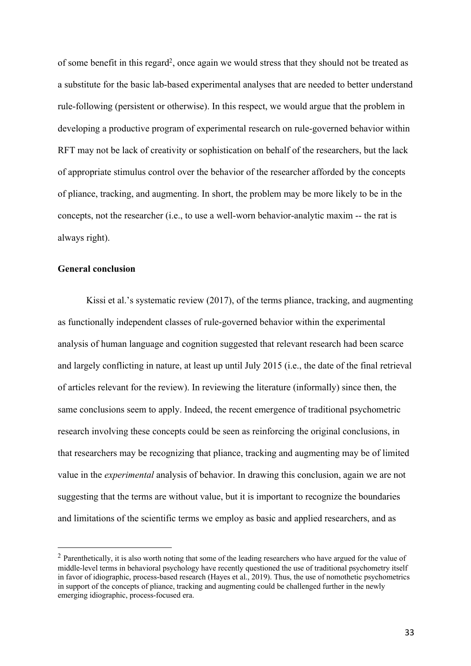of some benefit in this regard<sup>2</sup>, once again we would stress that they should not be treated as a substitute for the basic lab-based experimental analyses that are needed to better understand rule-following (persistent or otherwise). In this respect, we would argue that the problem in developing a productive program of experimental research on rule-governed behavior within RFT may not be lack of creativity or sophistication on behalf of the researchers, but the lack of appropriate stimulus control over the behavior of the researcher afforded by the concepts of pliance, tracking, and augmenting. In short, the problem may be more likely to be in the concepts, not the researcher (i.e., to use a well-worn behavior-analytic maxim -- the rat is always right).

### **General conclusion**

Kissi et al.'s systematic review (2017), of the terms pliance, tracking, and augmenting as functionally independent classes of rule-governed behavior within the experimental analysis of human language and cognition suggested that relevant research had been scarce and largely conflicting in nature, at least up until July 2015 (i.e., the date of the final retrieval of articles relevant for the review). In reviewing the literature (informally) since then, the same conclusions seem to apply. Indeed, the recent emergence of traditional psychometric research involving these concepts could be seen as reinforcing the original conclusions, in that researchers may be recognizing that pliance, tracking and augmenting may be of limited value in the *experimental* analysis of behavior. In drawing this conclusion, again we are not suggesting that the terms are without value, but it is important to recognize the boundaries and limitations of the scientific terms we employ as basic and applied researchers, and as

<sup>&</sup>lt;sup>2</sup> Parenthetically, it is also worth noting that some of the leading researchers who have argued for the value of middle-level terms in behavioral psychology have recently questioned the use of traditional psychometry itself in favor of idiographic, process-based research (Hayes et al., 2019). Thus, the use of nomothetic psychometrics in support of the concepts of pliance, tracking and augmenting could be challenged further in the newly emerging idiographic, process-focused era.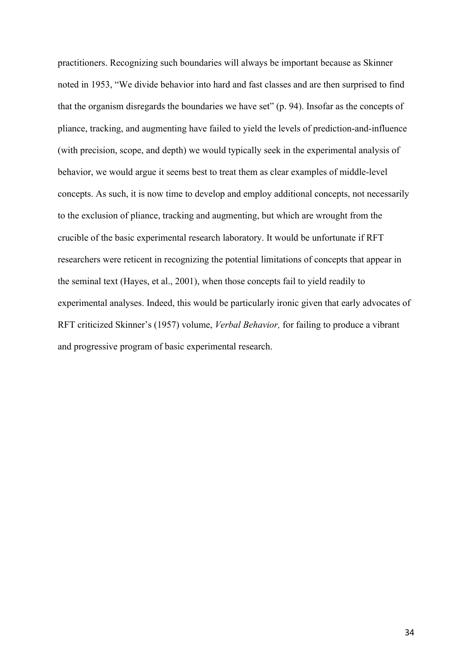practitioners. Recognizing such boundaries will always be important because as Skinner noted in 1953, "We divide behavior into hard and fast classes and are then surprised to find that the organism disregards the boundaries we have set" (p. 94). Insofar as the concepts of pliance, tracking, and augmenting have failed to yield the levels of prediction-and-influence (with precision, scope, and depth) we would typically seek in the experimental analysis of behavior, we would argue it seems best to treat them as clear examples of middle-level concepts. As such, it is now time to develop and employ additional concepts, not necessarily to the exclusion of pliance, tracking and augmenting, but which are wrought from the crucible of the basic experimental research laboratory. It would be unfortunate if RFT researchers were reticent in recognizing the potential limitations of concepts that appear in the seminal text (Hayes, et al., 2001), when those concepts fail to yield readily to experimental analyses. Indeed, this would be particularly ironic given that early advocates of RFT criticized Skinner's (1957) volume, *Verbal Behavior,* for failing to produce a vibrant and progressive program of basic experimental research.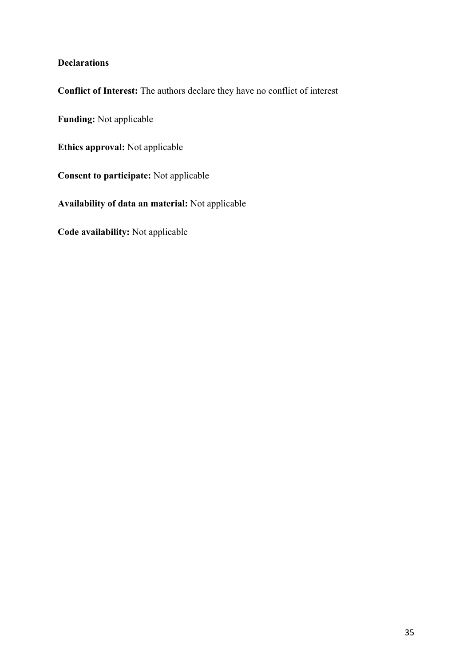### **Declarations**

**Conflict of Interest:** The authors declare they have no conflict of interest

**Funding:** Not applicable

**Ethics approval:** Not applicable

**Consent to participate:** Not applicable

**Availability of data an material:** Not applicable

**Code availability:** Not applicable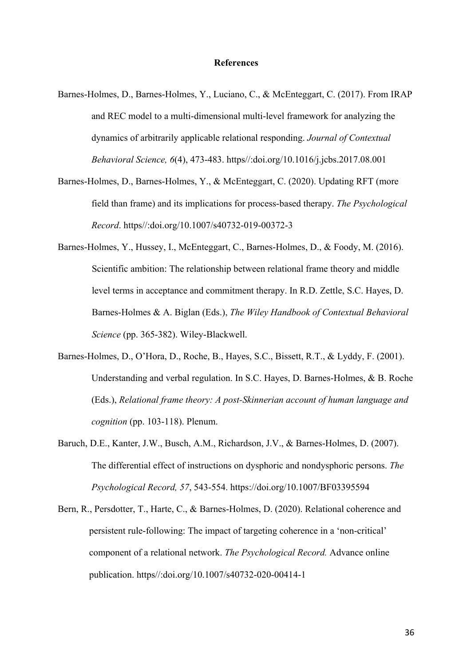#### **References**

- Barnes-Holmes, D., Barnes-Holmes, Y., Luciano, C., & McEnteggart, C. (2017). From IRAP and REC model to a multi-dimensional multi-level framework for analyzing the dynamics of arbitrarily applicable relational responding. *Journal of Contextual Behavioral Science, 6*(4), 473-483. https//:doi.org/10.1016/j.jcbs.2017.08.001
- Barnes-Holmes, D., Barnes-Holmes, Y., & McEnteggart, C. (2020). Updating RFT (more field than frame) and its implications for process-based therapy. *The Psychological Record*. https//:doi.org/10.1007/s40732-019-00372-3
- Barnes-Holmes, Y., Hussey, I., McEnteggart, C., Barnes-Holmes, D., & Foody, M. (2016). Scientific ambition: The relationship between relational frame theory and middle level terms in acceptance and commitment therapy. In R.D. Zettle, S.C. Hayes, D. Barnes-Holmes & A. Biglan (Eds.), *The Wiley Handbook of Contextual Behavioral Science* (pp. 365-382). Wiley-Blackwell.
- Barnes-Holmes, D., O'Hora, D., Roche, B., Hayes, S.C., Bissett, R.T., & Lyddy, F. (2001). Understanding and verbal regulation. In S.C. Hayes, D. Barnes-Holmes, & B. Roche (Eds.), *Relational frame theory: A post-Skinnerian account of human language and cognition* (pp. 103-118). Plenum.
- Baruch, D.E., Kanter, J.W., Busch, A.M., Richardson, J.V., & Barnes-Holmes, D. (2007). The differential effect of instructions on dysphoric and nondysphoric persons. *The Psychological Record, 57*, 543-554. https://doi.org/10.1007/BF03395594
- Bern, R., Persdotter, T., Harte, C., & Barnes-Holmes, D. (2020). Relational coherence and persistent rule-following: The impact of targeting coherence in a 'non-critical' component of a relational network. *The Psychological Record.* Advance online publication. https//:doi.org/10.1007/s40732-020-00414-1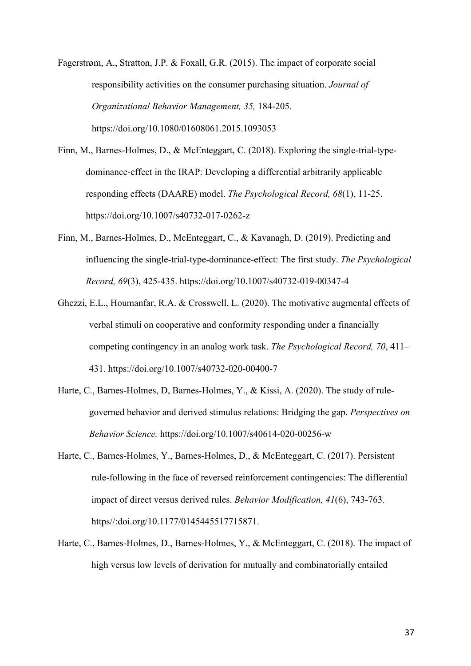Fagerstrøm, A., Stratton, J.P. & Foxall, G.R. (2015). The impact of corporate social responsibility activities on the consumer purchasing situation. *Journal of Organizational Behavior Management, 35,* 184-205. https://doi.org/10.1080/01608061.2015.1093053

Finn, M., Barnes-Holmes, D., & McEnteggart, C. (2018). Exploring the single-trial-typedominance-effect in the IRAP: Developing a differential arbitrarily applicable responding effects (DAARE) model. *The Psychological Record, 68*(1), 11-25. https://doi.org/10.1007/s40732-017-0262-z

- Finn, M., Barnes-Holmes, D., McEnteggart, C., & Kavanagh, D. (2019). Predicting and influencing the single-trial-type-dominance-effect: The first study. *The Psychological Record, 69*(3), 425-435. https://doi.org/10.1007/s40732-019-00347-4
- Ghezzi, E.L., Houmanfar, R.A. & Crosswell, L. (2020). The motivative augmental effects of verbal stimuli on cooperative and conformity responding under a financially competing contingency in an analog work task. *The Psychological Record, 70*, 411– 431. https://doi.org/10.1007/s40732-020-00400-7
- Harte, C., Barnes-Holmes, D, Barnes-Holmes, Y., & Kissi, A. (2020). The study of rulegoverned behavior and derived stimulus relations: Bridging the gap. *Perspectives on Behavior Science.* https://doi.org/10.1007/s40614-020-00256-w
- Harte, C., Barnes-Holmes, Y., Barnes-Holmes, D., & McEnteggart, C. (2017). Persistent rule-following in the face of reversed reinforcement contingencies: The differential impact of direct versus derived rules. *Behavior Modification, 41*(6), 743-763. https//:doi.org/10.1177/0145445517715871.
- Harte, C., Barnes-Holmes, D., Barnes-Holmes, Y., & McEnteggart, C. (2018). The impact of high versus low levels of derivation for mutually and combinatorially entailed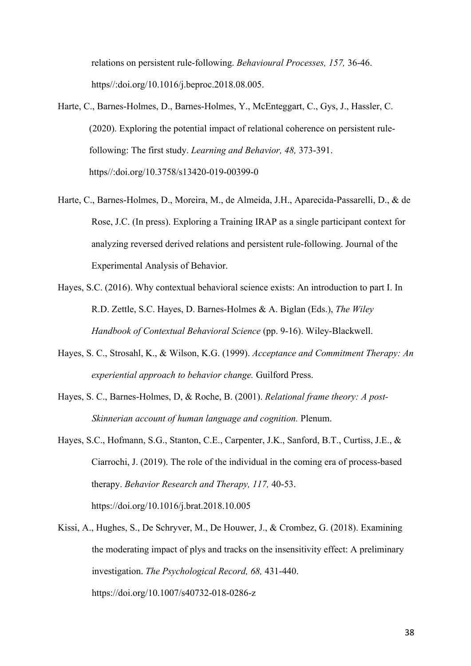relations on persistent rule-following. *Behavioural Processes, 157,* 36-46. https//:doi.org/10.1016/j.beproc.2018.08.005.

- Harte, C., Barnes-Holmes, D., Barnes-Holmes, Y., McEnteggart, C., Gys, J., Hassler, C. (2020). Exploring the potential impact of relational coherence on persistent rulefollowing: The first study. *Learning and Behavior, 48,* 373-391. https//:doi.org/10.3758/s13420-019-00399-0
- Harte, C., Barnes-Holmes, D., Moreira, M., de Almeida, J.H., Aparecida-Passarelli, D., & de Rose, J.C. (In press). Exploring a Training IRAP as a single participant context for analyzing reversed derived relations and persistent rule-following. Journal of the Experimental Analysis of Behavior.
- Hayes, S.C. (2016). Why contextual behavioral science exists: An introduction to part I. In R.D. Zettle, S.C. Hayes, D. Barnes-Holmes & A. Biglan (Eds.), *The Wiley Handbook of Contextual Behavioral Science* (pp. 9-16). Wiley-Blackwell.
- Hayes, S. C., Strosahl, K., & Wilson, K.G. (1999). *Acceptance and Commitment Therapy: An experiential approach to behavior change.* Guilford Press.
- Hayes, S. C., Barnes-Holmes, D, & Roche, B. (2001). *Relational frame theory: A post-Skinnerian account of human language and cognition.* Plenum.
- Hayes, S.C., Hofmann, S.G., Stanton, C.E., Carpenter, J.K., Sanford, B.T., Curtiss, J.E., & Ciarrochi, J. (2019). The role of the individual in the coming era of process-based therapy. *Behavior Research and Therapy, 117,* 40-53. https://doi.org/10.1016/j.brat.2018.10.005
- Kissi, A., Hughes, S., De Schryver, M., De Houwer, J., & Crombez, G. (2018). Examining the moderating impact of plys and tracks on the insensitivity effect: A preliminary investigation. *The Psychological Record, 68,* 431-440. https://doi.org/10.1007/s40732-018-0286-z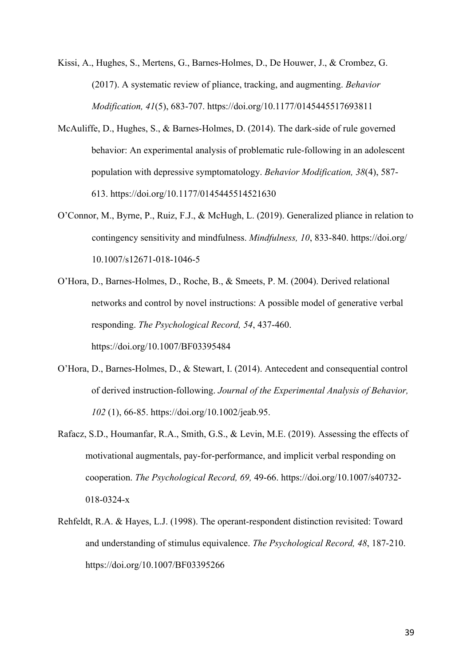Kissi, A., Hughes, S., Mertens, G., Barnes-Holmes, D., De Houwer, J., & Crombez, G. (2017). A systematic review of pliance, tracking, and augmenting. *Behavior Modification, 41*(5), 683-707. https://doi.org/10.1177/0145445517693811

- McAuliffe, D., Hughes, S., & Barnes-Holmes, D. (2014). The dark-side of rule governed behavior: An experimental analysis of problematic rule-following in an adolescent population with depressive symptomatology. *Behavior Modification, 38*(4), 587- 613. https://doi.org/10.1177/0145445514521630
- O'Connor, M., Byrne, P., Ruiz, F.J., & McHugh, L. (2019). Generalized pliance in relation to contingency sensitivity and mindfulness. *Mindfulness, 10*, 833-840. https://doi.org/ 10.1007/s12671-018-1046-5
- O'Hora, D., Barnes-Holmes, D., Roche, B., & Smeets, P. M. (2004). Derived relational networks and control by novel instructions: A possible model of generative verbal responding. *The Psychological Record, 54*, 437-460. https://doi.org/10.1007/BF03395484
- O'Hora, D., Barnes-Holmes, D., & Stewart, I. (2014). Antecedent and consequential control of derived instruction-following. *Journal of the Experimental Analysis of Behavior, 102* (1), 66-85. https://doi.org/10.1002/jeab.95.
- Rafacz, S.D., Houmanfar, R.A., Smith, G.S., & Levin, M.E. (2019). Assessing the effects of motivational augmentals, pay-for-performance, and implicit verbal responding on cooperation. *The Psychological Record, 69,* 49-66. https://doi.org/10.1007/s40732- 018-0324-x
- Rehfeldt, R.A. & Hayes, L.J. (1998). The operant-respondent distinction revisited: Toward and understanding of stimulus equivalence. *The Psychological Record, 48*, 187-210. https://doi.org/10.1007/BF03395266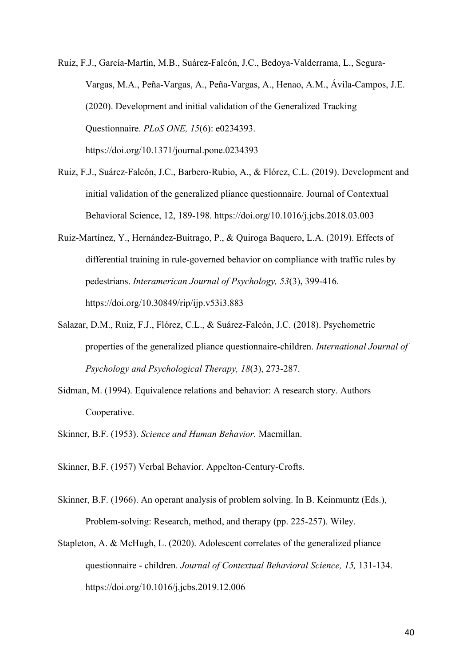Ruiz, F.J., García-Martín, M.B., Suárez-Falcón, J.C., Bedoya-Valderrama, L., Segura-Vargas, M.A., Peña-Vargas, A., Peña-Vargas, A., Henao, A.M., Ávila-Campos, J.E. (2020). Development and initial validation of the Generalized Tracking Questionnaire. *PLoS ONE, 15*(6): e0234393. https://doi.org/10.1371/journal.pone.0234393

- Ruiz, F.J., Suárez-Falcón, J.C., Barbero-Rubio, A., & Flórez, C.L. (2019). Development and initial validation of the generalized pliance questionnaire. Journal of Contextual Behavioral Science, 12, 189-198. https://doi.org/10.1016/j.jcbs.2018.03.003
- Ruiz-Martínez, Y., Hernández-Buitrago, P., & Quiroga Baquero, L.A. (2019). Effects of differential training in rule-governed behavior on compliance with traffic rules by pedestrians. *Interamerican Journal of Psychology, 53*(3), 399-416. https://doi.org/10.30849/rip/ijp.v53i3.883
- Salazar, D.M., Ruiz, F.J., Flórez, C.L., & Suárez-Falcón, J.C. (2018). Psychometric properties of the generalized pliance questionnaire-children. *International Journal of Psychology and Psychological Therapy, 18*(3), 273-287.
- Sidman, M. (1994). Equivalence relations and behavior: A research story. Authors Cooperative.
- Skinner, B.F. (1953). *Science and Human Behavior.* Macmillan.
- Skinner, B.F. (1957) Verbal Behavior. Appelton-Century-Crofts.
- Skinner, B.F. (1966). An operant analysis of problem solving. In B. Keinmuntz (Eds.), Problem-solving: Research, method, and therapy (pp. 225-257). Wiley.
- Stapleton, A. & McHugh, L. (2020). Adolescent correlates of the generalized pliance questionnaire - children. *Journal of Contextual Behavioral Science, 15,* 131-134. https://doi.org/10.1016/j.jcbs.2019.12.006